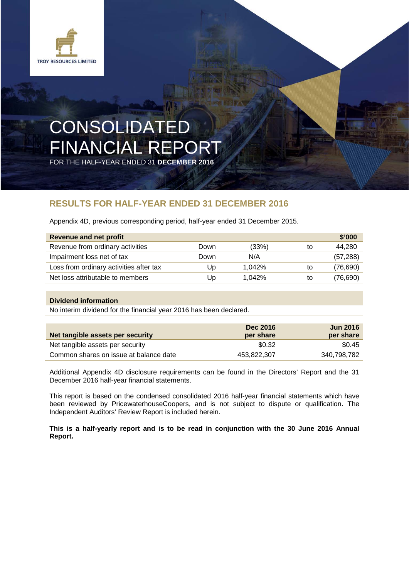

# CONSOLIDATED FINANCIAL REPORT

FOR THE HALF-YEAR ENDED 31 **DECEMBER 2016**

## **RESULTS FOR HALF-YEAR ENDED 31 DECEMBER 2016**

Appendix 4D, previous corresponding period, half-year ended 31 December 2015.

| <b>Revenue and net profit</b>           |      |        |    | \$'000    |
|-----------------------------------------|------|--------|----|-----------|
| Revenue from ordinary activities        | Down | (33%)  | to | 44.280    |
| Impairment loss net of tax              | Down | N/A    |    | (57, 288) |
| Loss from ordinary activities after tax | Up   | 1.042% | to | (76, 690) |
| Net loss attributable to members        | Up   | 1.042% | to | (76, 690) |

## **Dividend information**

No interim dividend for the financial year 2016 has been declared.

| Net tangible assets per security       | <b>Dec 2016</b><br>per share | <b>Jun 2016</b><br>per share |
|----------------------------------------|------------------------------|------------------------------|
| Net tangible assets per security       | \$0.32                       | \$0.45                       |
| Common shares on issue at balance date | 453.822.307                  | 340.798.782                  |

Additional Appendix 4D disclosure requirements can be found in the Directors' Report and the 31 December 2016 half-year financial statements.

This report is based on the condensed consolidated 2016 half-year financial statements which have been reviewed by PricewaterhouseCoopers, and is not subject to dispute or qualification. The Independent Auditors' Review Report is included herein.

**This is a half-yearly report and is to be read in conjunction with the 30 June 2016 Annual Report.**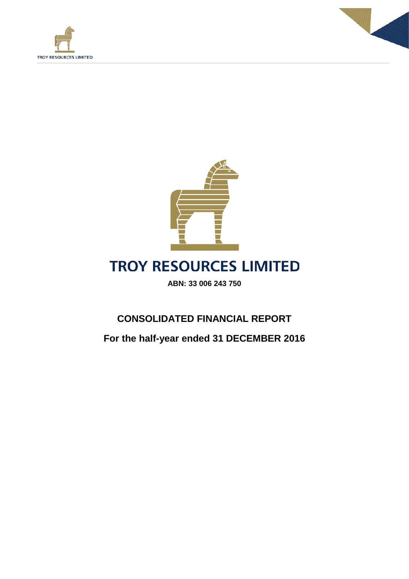





## **TROY RESOURCES LIMITED**

**ABN: 33 006 243 750**

## **CONSOLIDATED FINANCIAL REPORT**

**For the half-year ended 31 DECEMBER 2016**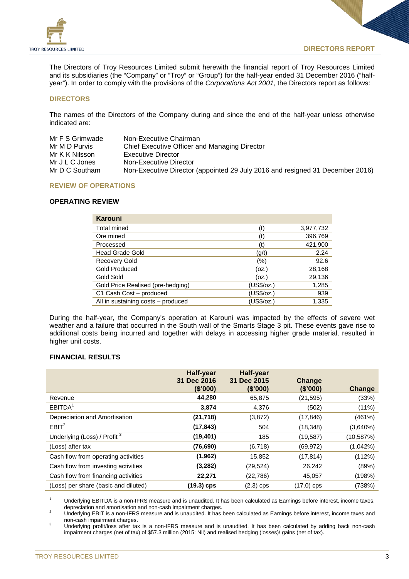

The Directors of Troy Resources Limited submit herewith the financial report of Troy Resources Limited and its subsidiaries (the "Company" or "Troy" or "Group") for the half-year ended 31 December 2016 ("halfyear"). In order to comply with the provisions of the *Corporations Act 2001*, the Directors report as follows:

## **DIRECTORS**

The names of the Directors of the Company during and since the end of the half-year unless otherwise indicated are:

| Mr F S Grimwade | Non-Executive Chairman                                                        |
|-----------------|-------------------------------------------------------------------------------|
| Mr M D Purvis   | Chief Executive Officer and Managing Director                                 |
| Mr K K Nilsson  | Executive Director                                                            |
| Mr J L C Jones  | Non-Executive Director                                                        |
| Mr D C Southam  | Non-Executive Director (appointed 29 July 2016 and resigned 31 December 2016) |

## **REVIEW OF OPERATIONS**

## **OPERATING REVIEW**

| <b>Karouni</b>                     |            |           |
|------------------------------------|------------|-----------|
| <b>Total mined</b>                 | (t)        | 3,977,732 |
| Ore mined                          | (t)        | 396,769   |
| Processed                          | (t)        | 421,900   |
| <b>Head Grade Gold</b>             | (g/t)      | 2.24      |
| <b>Recovery Gold</b>               | (%)        | 92.6      |
| Gold Produced                      | (oz.)      | 28,168    |
| Gold Sold                          | (oz.)      | 29,136    |
| Gold Price Realised (pre-hedging)  | (US\$/oz.) | 1,285     |
| C1 Cash Cost - produced            | (US\$/oz.) | 939       |
| All in sustaining costs - produced | (US\$/oz.) | 1.335     |

During the half-year, the Company's operation at Karouni was impacted by the effects of severe wet weather and a failure that occurred in the South wall of the Smarts Stage 3 pit. These events gave rise to additional costs being incurred and together with delays in accessing higher grade material, resulted in higher unit costs.

## **FINANCIAL RESULTS**

|                                         | <b>Half-year</b><br>31 Dec 2016<br>(\$'000) | <b>Half-year</b><br>31 Dec 2015<br>(\$'000) | Change<br>(\$'000) | Change     |
|-----------------------------------------|---------------------------------------------|---------------------------------------------|--------------------|------------|
| Revenue                                 | 44,280                                      | 65,875                                      | (21, 595)          | (33%)      |
| EBITDA <sup>1</sup>                     | 3,874                                       | 4,376                                       | (502)              | $(11\%)$   |
| Depreciation and Amortisation           | (21, 718)                                   | (3,872)                                     | (17, 846)          | (461%)     |
| EBIT <sup>2</sup>                       | (17, 843)                                   | 504                                         | (18, 348)          | (3,640%)   |
| Underlying (Loss) / Profit <sup>3</sup> | (19, 401)                                   | 185                                         | (19, 587)          | (10, 587%) |
| (Loss) after tax                        | (76, 690)                                   | (6, 718)                                    | (69, 972)          | (1,042%)   |
| Cash flow from operating activities     | (1, 962)                                    | 15,852                                      | (17, 814)          | (112%)     |
| Cash flow from investing activities     | (3, 282)                                    | (29, 524)                                   | 26,242             | (89%)      |
| Cash flow from financing activities     | 22,271                                      | (22, 786)                                   | 45,057             | (198%)     |
| (Loss) per share (basic and diluted)    | (19.3) cps                                  | $(2.3)$ cps                                 | $(17.0)$ cps       | (738%)     |

<sup>1</sup> Underlying EBITDA is a non-IFRS measure and is unaudited. It has been calculated as Earnings before interest, income taxes, depreciation and amortisation and non-cash impairment charges.

depreciation and amous cash in and and and amount charges.<br>2 Underlying EBIT is a non-IFRS measure and is unaudited. It has been calculated as Earnings before interest, income taxes and<br>1 non-cash impairment charges.

<sup>3</sup> Underlying profit/loss after tax is a non-IFRS measure and is unaudited. It has been calculated by adding back non-cash impairment charges (net of tax) of \$57.3 million (2015: Nil) and realised hedging (losses)/ gains (net of tax).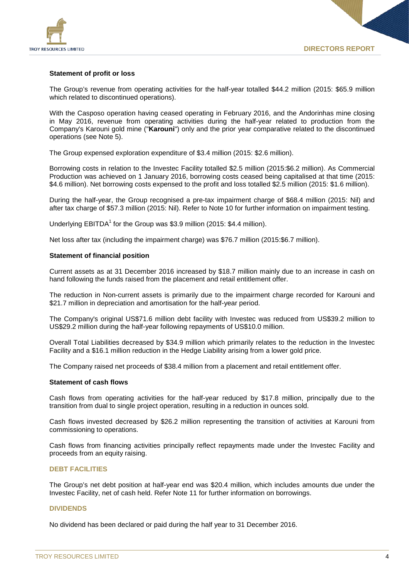

## **Statement of profit or loss**

The Group's revenue from operating activities for the half-year totalled \$44.2 million (2015: \$65.9 million which related to discontinued operations).

With the Casposo operation having ceased operating in February 2016, and the Andorinhas mine closing in May 2016, revenue from operating activities during the half-year related to production from the Company's Karouni gold mine ("**Karouni**") only and the prior year comparative related to the discontinued operations (see Note 5).

The Group expensed exploration expenditure of \$3.4 million (2015: \$2.6 million).

Borrowing costs in relation to the Investec Facility totalled \$2.5 million (2015:\$6.2 million). As Commercial Production was achieved on 1 January 2016, borrowing costs ceased being capitalised at that time (2015: \$4.6 million). Net borrowing costs expensed to the profit and loss totalled \$2.5 million (2015: \$1.6 million).

During the half-year, the Group recognised a pre-tax impairment charge of \$68.4 million (2015: Nil) and after tax charge of \$57.3 million (2015: Nil). Refer to Note 10 for further information on impairment testing.

Underlying  $EBITDA<sup>1</sup>$  for the Group was \$3.9 million (2015: \$4.4 million).

Net loss after tax (including the impairment charge) was \$76.7 million (2015:\$6.7 million).

## **Statement of financial position**

Current assets as at 31 December 2016 increased by \$18.7 million mainly due to an increase in cash on hand following the funds raised from the placement and retail entitlement offer.

The reduction in Non-current assets is primarily due to the impairment charge recorded for Karouni and \$21.7 million in depreciation and amortisation for the half-year period.

The Company's original US\$71.6 million debt facility with Investec was reduced from US\$39.2 million to US\$29.2 million during the half-year following repayments of US\$10.0 million.

Overall Total Liabilities decreased by \$34.9 million which primarily relates to the reduction in the Investec Facility and a \$16.1 million reduction in the Hedge Liability arising from a lower gold price.

The Company raised net proceeds of \$38.4 million from a placement and retail entitlement offer.

## **Statement of cash flows**

Cash flows from operating activities for the half-year reduced by \$17.8 million, principally due to the transition from dual to single project operation, resulting in a reduction in ounces sold.

Cash flows invested decreased by \$26.2 million representing the transition of activities at Karouni from commissioning to operations.

Cash flows from financing activities principally reflect repayments made under the Investec Facility and proceeds from an equity raising.

### **DEBT FACILITIES**

The Group's net debt position at half-year end was \$20.4 million, which includes amounts due under the Investec Facility, net of cash held. Refer Note 11 for further information on borrowings.

## **DIVIDENDS**

No dividend has been declared or paid during the half year to 31 December 2016.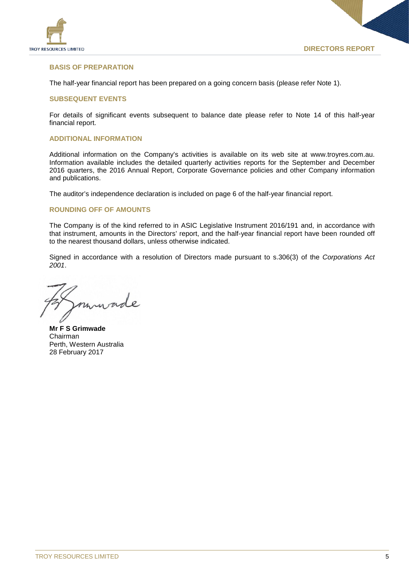

## **BASIS OF PREPARATION**

The half-year financial report has been prepared on a going concern basis (please refer Note 1).

## **SUBSEQUENT EVENTS**

For details of significant events subsequent to balance date please refer to Note 14 of this half-year financial report.

## **ADDITIONAL INFORMATION**

Additional information on the Company's activities is available on its web site at www.troyres.com.au. Information available includes the detailed quarterly activities reports for the September and December 2016 quarters, the 2016 Annual Report, Corporate Governance policies and other Company information and publications.

The auditor's independence declaration is included on page 6 of the half-year financial report.

## **ROUNDING OFF OF AMOUNTS**

The Company is of the kind referred to in ASIC Legislative Instrument 2016/191 and, in accordance with that instrument, amounts in the Directors' report, and the half-year financial report have been rounded off to the nearest thousand dollars, unless otherwise indicated.

Signed in accordance with a resolution of Directors made pursuant to s.306(3) of the *Corporations Act 2001*.

**Mr F S Grimwade** Chairman Perth, Western Australia 28 February 2017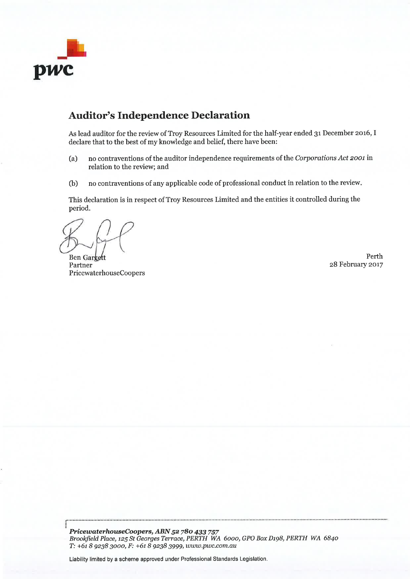

## **Auditor's Independence Declaration**

As lead auditor for the review of Troy Resources Limited for the half-year ended 31 December 2016, I declare that to the best of my knowledge and belief, there have been:

- no contraventions of the auditor independence requirements of the Corporations Act 2001 in  $(a)$ relation to the review; and
- $(b)$ no contraventions of any applicable code of professional conduct in relation to the review.

This declaration is in respect of Troy Resources Limited and the entities it controlled during the period.

Ben Gargett Partner PricewaterhouseCoopers

Perth 28 February 2017

PricewaterhouseCoopers, ABN 52 780 433 757 Brookfield Place, 125 St Georges Terrace, PERTH WA 6000, GPO Box D198, PERTH WA 6840 T: +61 8 9238 3000, F: +61 8 9238 3999, www.pwc.com.au

Liability limited by a scheme approved under Professional Standards Legislation.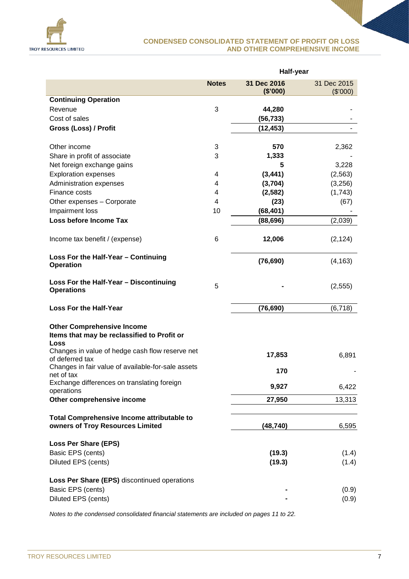

## **CONDENSED CONSOLIDATED STATEMENT OF PROFIT OR LOSS AND OTHER COMPREHENSIVE INCOME**

|                                                                                          |              | Half-year   |             |
|------------------------------------------------------------------------------------------|--------------|-------------|-------------|
|                                                                                          | <b>Notes</b> | 31 Dec 2016 | 31 Dec 2015 |
| <b>Continuing Operation</b>                                                              |              | (\$'000)    | (\$'000)    |
| Revenue                                                                                  | 3            | 44,280      |             |
| Cost of sales                                                                            |              | (56, 733)   |             |
| Gross (Loss) / Profit                                                                    |              | (12, 453)   |             |
|                                                                                          |              |             |             |
| Other income                                                                             | 3            | 570         | 2,362       |
| Share in profit of associate                                                             | 3            | 1,333       |             |
| Net foreign exchange gains                                                               |              | 5           | 3,228       |
| <b>Exploration expenses</b>                                                              | 4            | (3, 441)    | (2, 563)    |
| Administration expenses                                                                  | 4            | (3,704)     | (3,256)     |
| Finance costs                                                                            | 4            | (2, 582)    | (1,743)     |
| Other expenses - Corporate                                                               | 4            | (23)        | (67)        |
| Impairment loss                                                                          | 10           | (68, 401)   |             |
| Loss before Income Tax                                                                   |              | (88, 696)   | (2,039)     |
|                                                                                          |              |             |             |
| Income tax benefit / (expense)                                                           | 6            | 12,006      | (2, 124)    |
| Loss For the Half-Year - Continuing<br><b>Operation</b>                                  |              | (76, 690)   | (4, 163)    |
| Loss For the Half-Year - Discontinuing<br><b>Operations</b>                              | 5            |             | (2, 555)    |
| <b>Loss For the Half-Year</b>                                                            |              | (76, 690)   | (6, 718)    |
| <b>Other Comprehensive Income</b><br>Items that may be reclassified to Profit or<br>Loss |              |             |             |
| Changes in value of hedge cash flow reserve net<br>of deferred tax                       |              | 17,853      | 6,891       |
| Changes in fair value of available-for-sale assets<br>net of tax                         |              | 170         |             |
| Exchange differences on translating foreign<br>operations                                |              | 9,927       | 6,422       |
| Other comprehensive income                                                               |              | 27,950      | 13,313      |
| <b>Total Comprehensive Income attributable to</b><br>owners of Troy Resources Limited    |              | (48, 740)   | 6,595       |
| <b>Loss Per Share (EPS)</b>                                                              |              |             |             |
| Basic EPS (cents)                                                                        |              | (19.3)      | (1.4)       |
| Diluted EPS (cents)                                                                      |              | (19.3)      | (1.4)       |
| Loss Per Share (EPS) discontinued operations                                             |              |             |             |
| Basic EPS (cents)                                                                        |              |             | (0.9)       |
| Diluted EPS (cents)                                                                      |              |             | (0.9)       |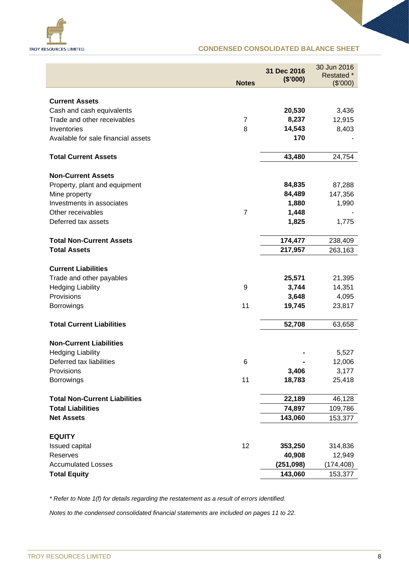

## **CONDENSED CONSOLIDATED BALANCE SHEET**

|                                                          | <b>Notes</b>   | 31 Dec 2016<br>(\$'000) | 30 Jun 2016<br>Restated *<br>(\$7000) |
|----------------------------------------------------------|----------------|-------------------------|---------------------------------------|
|                                                          |                |                         |                                       |
| <b>Current Assets</b>                                    |                | 20,530                  | 3,436                                 |
| Cash and cash equivalents<br>Trade and other receivables | 7              | 8,237                   | 12,915                                |
| Inventories                                              | 8              | 14,543                  | 8,403                                 |
| Available for sale financial assets                      |                | 170                     |                                       |
|                                                          |                |                         |                                       |
| <b>Total Current Assets</b>                              |                | 43,480                  | 24,754                                |
| <b>Non-Current Assets</b>                                |                |                         |                                       |
| Property, plant and equipment                            |                | 84,835                  | 87,288                                |
| Mine property                                            |                | 84,489                  | 147,356                               |
| Investments in associates                                |                | 1,880                   | 1,990                                 |
| Other receivables                                        | $\overline{7}$ | 1,448                   |                                       |
| Deferred tax assets                                      |                | 1,825                   | 1,775                                 |
| <b>Total Non-Current Assets</b>                          |                | 174,477                 | 238,409                               |
| <b>Total Assets</b>                                      |                | 217,957                 | 263,163                               |
| <b>Current Liabilities</b>                               |                |                         |                                       |
| Trade and other payables                                 |                | 25,571                  | 21,395                                |
| <b>Hedging Liability</b>                                 | 9              | 3,744                   | 14,351                                |
| Provisions                                               |                | 3,648                   | 4,095                                 |
| <b>Borrowings</b>                                        | 11             | 19,745                  | 23,817                                |
| <b>Total Current Liabilities</b>                         |                | 52,708                  | 63,658                                |
| <b>Non-Current Liabilities</b>                           |                |                         |                                       |
| <b>Hedging Liability</b>                                 |                |                         | 5,527                                 |
| Deferred tax liabilities                                 | 6              |                         | 12,006                                |
| Provisions                                               |                | 3,406                   | 3,177                                 |
| <b>Borrowings</b>                                        | 11             | 18,783                  | 25,418                                |
| <b>Total Non-Current Liabilities</b>                     |                | 22,189                  |                                       |
| <b>Total Liabilities</b>                                 |                | 74,897                  | 46,128<br>109,786                     |
| <b>Net Assets</b>                                        |                | 143,060                 | 153,377                               |
|                                                          |                |                         |                                       |
| <b>EQUITY</b>                                            |                |                         |                                       |
| Issued capital                                           | 12             | 353,250                 | 314,836                               |
| Reserves                                                 |                | 40,908                  | 12,949                                |
| <b>Accumulated Losses</b>                                |                | (251, 098)              | (174, 408)                            |
| <b>Total Equity</b>                                      |                | 143,060                 | 153,377                               |

*\* Refer to Note 1(f) for details regarding the restatement as a result of errors identified.*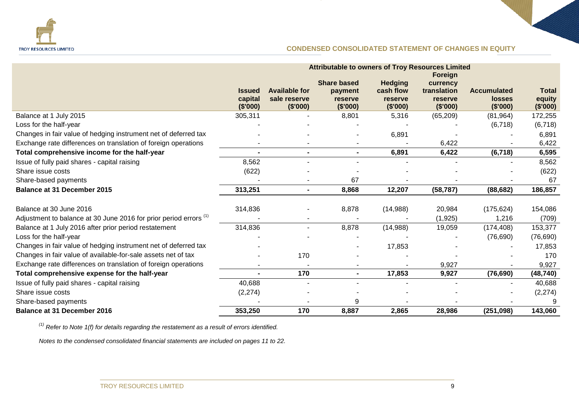

## **CONDENSED CONSOLIDATED STATEMENT OF CHANGES IN EQUITY**

|                                                                              | <b>Attributable to owners of Troy Resources Limited</b> |                          |                     |                     |                     |                           |                    |
|------------------------------------------------------------------------------|---------------------------------------------------------|--------------------------|---------------------|---------------------|---------------------|---------------------------|--------------------|
|                                                                              |                                                         |                          |                     |                     | Foreign             |                           |                    |
|                                                                              |                                                         |                          | <b>Share based</b>  | <b>Hedging</b>      | currency            |                           |                    |
|                                                                              | <b>Issued</b>                                           | <b>Available for</b>     | payment             | cash flow           | translation         | <b>Accumulated</b>        | <b>Total</b>       |
|                                                                              | capital<br>(\$'000)                                     | sale reserve<br>(\$'000) | reserve<br>(\$'000) | reserve<br>(\$'000) | reserve<br>(\$'000) | <b>losses</b><br>(\$'000) | equity<br>(\$'000) |
| Balance at 1 July 2015                                                       | 305,311                                                 |                          | 8,801               | 5,316               | (65, 209)           | (81, 964)                 | 172,255            |
| Loss for the half-year                                                       |                                                         |                          |                     |                     |                     | (6, 718)                  | (6, 718)           |
| Changes in fair value of hedging instrument net of deferred tax              |                                                         |                          |                     | 6,891               |                     |                           | 6,891              |
| Exchange rate differences on translation of foreign operations               |                                                         |                          |                     |                     | 6,422               |                           | 6,422              |
| Total comprehensive income for the half-year                                 | $\blacksquare$                                          | $\blacksquare$           | $\blacksquare$      | 6,891               | 6,422               | (6, 718)                  | 6,595              |
| Issue of fully paid shares - capital raising                                 | 8,562                                                   |                          |                     |                     |                     |                           | 8,562              |
| Share issue costs                                                            | (622)                                                   |                          |                     |                     |                     |                           | (622)              |
| Share-based payments                                                         |                                                         |                          | 67                  |                     |                     |                           | 67                 |
| <b>Balance at 31 December 2015</b>                                           | 313,251                                                 | $\blacksquare$           | 8,868               | 12,207              | (58, 787)           | (88, 682)                 | 186,857            |
|                                                                              |                                                         |                          |                     |                     |                     |                           |                    |
| Balance at 30 June 2016                                                      | 314,836                                                 |                          | 8,878               | (14,988)            | 20,984              | (175, 624)                | 154,086            |
| Adjustment to balance at 30 June 2016 for prior period errors <sup>(1)</sup> |                                                         |                          |                     |                     | (1,925)             | 1,216                     | (709)              |
| Balance at 1 July 2016 after prior period restatement                        | 314,836                                                 | $\blacksquare$           | 8,878               | (14,988)            | 19,059              | (174, 408)                | 153,377            |
| Loss for the half-year                                                       |                                                         |                          |                     |                     |                     | (76, 690)                 | (76, 690)          |
| Changes in fair value of hedging instrument net of deferred tax              |                                                         |                          |                     | 17,853              |                     |                           | 17,853             |
| Changes in fair value of available-for-sale assets net of tax                |                                                         | 170                      |                     |                     |                     |                           | 170                |
| Exchange rate differences on translation of foreign operations               |                                                         |                          |                     |                     | 9,927               |                           | 9,927              |
| Total comprehensive expense for the half-year                                |                                                         | 170                      | $\blacksquare$      | 17,853              | 9,927               | (76, 690)                 | (48, 740)          |
| Issue of fully paid shares - capital raising                                 | 40,688                                                  |                          |                     |                     |                     |                           | 40,688             |
| Share issue costs                                                            | (2, 274)                                                |                          |                     |                     |                     |                           | (2, 274)           |
| Share-based payments                                                         |                                                         |                          | 9                   |                     |                     |                           | g                  |
| <b>Balance at 31 December 2016</b>                                           | 353,250                                                 | 170                      | 8,887               | 2,865               | 28,986              | (251,098)                 | 143,060            |

*(1) Refer to Note 1(f) for details regarding the restatement as a result of errors identified.*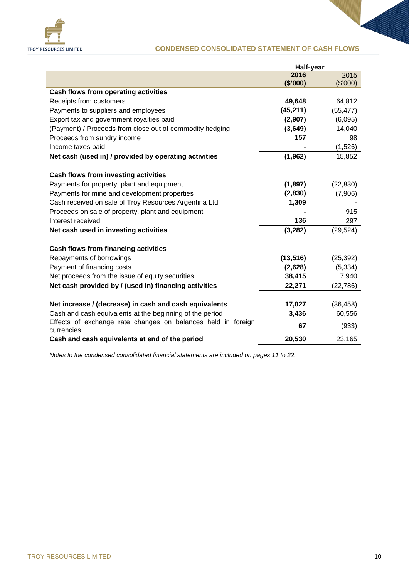

## **CONDENSED CONSOLIDATED STATEMENT OF CASH FLOWS**

|                                                                            | Half-year |           |
|----------------------------------------------------------------------------|-----------|-----------|
|                                                                            | 2016      | 2015      |
|                                                                            | (\$'000)  | (\$7000)  |
| Cash flows from operating activities                                       |           |           |
| Receipts from customers                                                    | 49,648    | 64,812    |
| Payments to suppliers and employees                                        | (45, 211) | (55, 477) |
| Export tax and government royalties paid                                   | (2,907)   | (6,095)   |
| (Payment) / Proceeds from close out of commodity hedging                   | (3,649)   | 14,040    |
| Proceeds from sundry income                                                | 157       | 98        |
| Income taxes paid                                                          |           | (1,526)   |
| Net cash (used in) / provided by operating activities                      | (1, 962)  | 15,852    |
| <b>Cash flows from investing activities</b>                                |           |           |
| Payments for property, plant and equipment                                 | (1, 897)  | (22, 830) |
| Payments for mine and development properties                               | (2,830)   | (7,906)   |
| Cash received on sale of Troy Resources Argentina Ltd                      | 1,309     |           |
| Proceeds on sale of property, plant and equipment                          |           | 915       |
| Interest received                                                          | 136       | 297       |
| Net cash used in investing activities                                      | (3, 282)  | (29, 524) |
| Cash flows from financing activities                                       |           |           |
| Repayments of borrowings                                                   | (13, 516) | (25, 392) |
| Payment of financing costs                                                 | (2,628)   | (5, 334)  |
| Net proceeds from the issue of equity securities                           | 38,415    | 7,940     |
| Net cash provided by / (used in) financing activities                      | 22,271    | (22, 786) |
| Net increase / (decrease) in cash and cash equivalents                     | 17,027    | (36, 458) |
| Cash and cash equivalents at the beginning of the period                   | 3,436     | 60,556    |
| Effects of exchange rate changes on balances held in foreign<br>currencies | 67        | (933)     |
| Cash and cash equivalents at end of the period                             | 20,530    | 23,165    |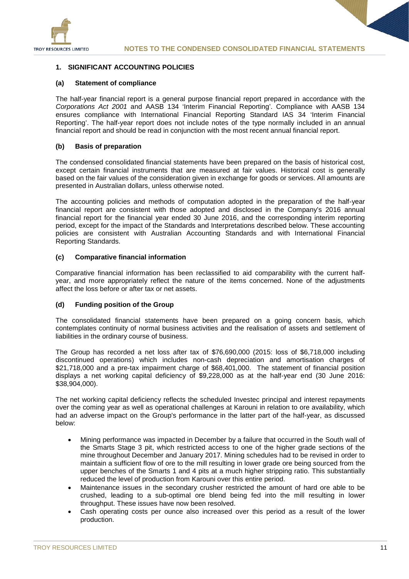

## **1. SIGNIFICANT ACCOUNTING POLICIES**

## **(a) Statement of compliance**

The half-year financial report is a general purpose financial report prepared in accordance with the *Corporations Act 2001* and AASB 134 'Interim Financial Reporting'. Compliance with AASB 134 ensures compliance with International Financial Reporting Standard IAS 34 'Interim Financial Reporting'. The half-year report does not include notes of the type normally included in an annual financial report and should be read in conjunction with the most recent annual financial report.

## **(b) Basis of preparation**

The condensed consolidated financial statements have been prepared on the basis of historical cost, except certain financial instruments that are measured at fair values. Historical cost is generally based on the fair values of the consideration given in exchange for goods or services. All amounts are presented in Australian dollars, unless otherwise noted.

The accounting policies and methods of computation adopted in the preparation of the half-year financial report are consistent with those adopted and disclosed in the Company's 2016 annual financial report for the financial year ended 30 June 2016, and the corresponding interim reporting period, except for the impact of the Standards and Interpretations described below. These accounting policies are consistent with Australian Accounting Standards and with International Financial Reporting Standards.

## **(c) Comparative financial information**

Comparative financial information has been reclassified to aid comparability with the current halfyear, and more appropriately reflect the nature of the items concerned. None of the adjustments affect the loss before or after tax or net assets.

## **(d) Funding position of the Group**

The consolidated financial statements have been prepared on a going concern basis, which contemplates continuity of normal business activities and the realisation of assets and settlement of liabilities in the ordinary course of business.

The Group has recorded a net loss after tax of \$76,690,000 (2015: loss of \$6,718,000 including discontinued operations) which includes non-cash depreciation and amortisation charges of \$21,718,000 and a pre-tax impairment charge of \$68,401,000. The statement of financial position displays a net working capital deficiency of \$9,228,000 as at the half-year end (30 June 2016: \$38,904,000).

The net working capital deficiency reflects the scheduled Investec principal and interest repayments over the coming year as well as operational challenges at Karouni in relation to ore availability, which had an adverse impact on the Group's performance in the latter part of the half-year, as discussed below:

- Mining performance was impacted in December by a failure that occurred in the South wall of the Smarts Stage 3 pit, which restricted access to one of the higher grade sections of the mine throughout December and January 2017. Mining schedules had to be revised in order to maintain a sufficient flow of ore to the mill resulting in lower grade ore being sourced from the upper benches of the Smarts 1 and 4 pits at a much higher stripping ratio. This substantially reduced the level of production from Karouni over this entire period.
- Maintenance issues in the secondary crusher restricted the amount of hard ore able to be crushed, leading to a sub-optimal ore blend being fed into the mill resulting in lower throughput. These issues have now been resolved.
- Cash operating costs per ounce also increased over this period as a result of the lower production.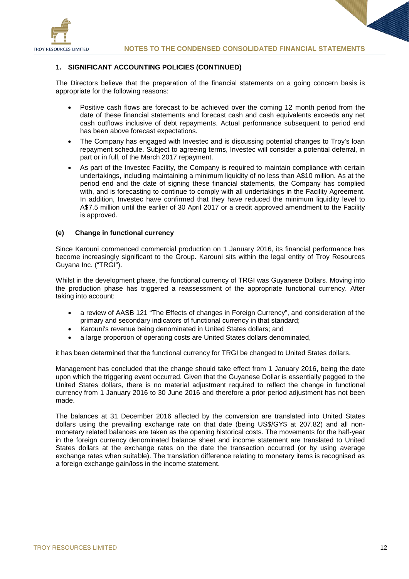

## **1. SIGNIFICANT ACCOUNTING POLICIES (CONTINUED)**

The Directors believe that the preparation of the financial statements on a going concern basis is appropriate for the following reasons:

- Positive cash flows are forecast to be achieved over the coming 12 month period from the date of these financial statements and forecast cash and cash equivalents exceeds any net cash outflows inclusive of debt repayments. Actual performance subsequent to period end has been above forecast expectations.
- The Company has engaged with Investec and is discussing potential changes to Troy's loan repayment schedule. Subject to agreeing terms, Investec will consider a potential deferral, in part or in full, of the March 2017 repayment.
- As part of the Investec Facility, the Company is required to maintain compliance with certain undertakings, including maintaining a minimum liquidity of no less than A\$10 million. As at the period end and the date of signing these financial statements, the Company has complied with, and is forecasting to continue to comply with all undertakings in the Facility Agreement. In addition, Investec have confirmed that they have reduced the minimum liquidity level to A\$7.5 million until the earlier of 30 April 2017 or a credit approved amendment to the Facility is approved.

## **(e) Change in functional currency**

Since Karouni commenced commercial production on 1 January 2016, its financial performance has become increasingly significant to the Group. Karouni sits within the legal entity of Troy Resources Guyana Inc. ("TRGI").

Whilst in the development phase, the functional currency of TRGI was Guyanese Dollars. Moving into the production phase has triggered a reassessment of the appropriate functional currency. After taking into account:

- a review of AASB 121 "The Effects of changes in Foreign Currency", and consideration of the primary and secondary indicators of functional currency in that standard;
- Karouni's revenue being denominated in United States dollars; and
- a large proportion of operating costs are United States dollars denominated,

it has been determined that the functional currency for TRGI be changed to United States dollars.

Management has concluded that the change should take effect from 1 January 2016, being the date upon which the triggering event occurred. Given that the Guyanese Dollar is essentially pegged to the United States dollars, there is no material adjustment required to reflect the change in functional currency from 1 January 2016 to 30 June 2016 and therefore a prior period adjustment has not been made.

The balances at 31 December 2016 affected by the conversion are translated into United States dollars using the prevailing exchange rate on that date (being US\$/GY\$ at 207.82) and all nonmonetary related balances are taken as the opening historical costs. The movements for the half-year in the foreign currency denominated balance sheet and income statement are translated to United States dollars at the exchange rates on the date the transaction occurred (or by using average exchange rates when suitable). The translation difference relating to monetary items is recognised as a foreign exchange gain/loss in the income statement.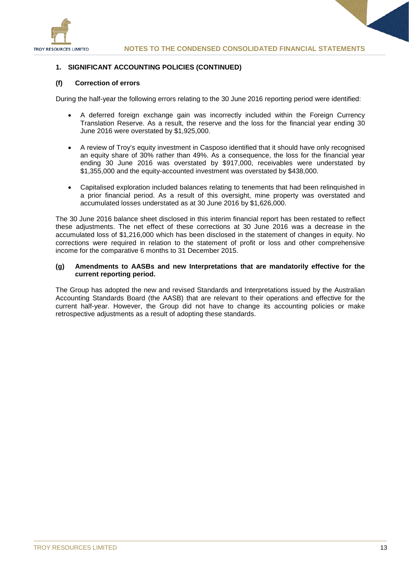

## **1. SIGNIFICANT ACCOUNTING POLICIES (CONTINUED)**

## **(f) Correction of errors**

During the half-year the following errors relating to the 30 June 2016 reporting period were identified:

- A deferred foreign exchange gain was incorrectly included within the Foreign Currency Translation Reserve. As a result, the reserve and the loss for the financial year ending 30 June 2016 were overstated by \$1,925,000.
- A review of Troy's equity investment in Casposo identified that it should have only recognised an equity share of 30% rather than 49%. As a consequence, the loss for the financial year ending 30 June 2016 was overstated by \$917,000, receivables were understated by \$1,355,000 and the equity-accounted investment was overstated by \$438,000.
- Capitalised exploration included balances relating to tenements that had been relinquished in a prior financial period. As a result of this oversight, mine property was overstated and accumulated losses understated as at 30 June 2016 by \$1,626,000.

The 30 June 2016 balance sheet disclosed in this interim financial report has been restated to reflect these adjustments. The net effect of these corrections at 30 June 2016 was a decrease in the accumulated loss of \$1,216,000 which has been disclosed in the statement of changes in equity. No corrections were required in relation to the statement of profit or loss and other comprehensive income for the comparative 6 months to 31 December 2015.

## **(g) Amendments to AASBs and new Interpretations that are mandatorily effective for the current reporting period.**

The Group has adopted the new and revised Standards and Interpretations issued by the Australian Accounting Standards Board (the AASB) that are relevant to their operations and effective for the current half-year. However, the Group did not have to change its accounting policies or make retrospective adjustments as a result of adopting these standards.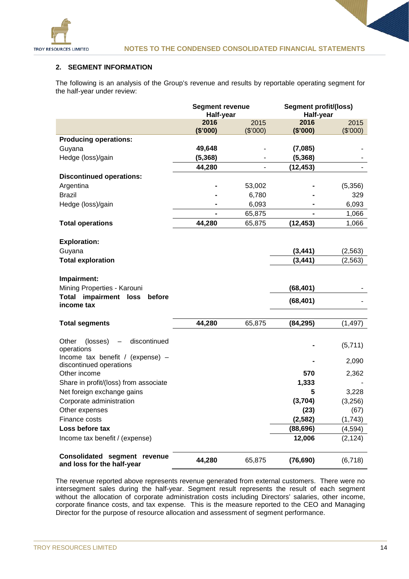

## **2. SEGMENT INFORMATION**

The following is an analysis of the Group's revenue and results by reportable operating segment for the half-year under review:

|                                                                       | <b>Segment revenue</b> |                  |                  | Segment profit/(loss) |  |
|-----------------------------------------------------------------------|------------------------|------------------|------------------|-----------------------|--|
|                                                                       | Half-year              |                  | Half-year        |                       |  |
|                                                                       | 2016<br>(\$'000)       | 2015<br>(\$'000) | 2016<br>(\$'000) | 2015<br>(\$'000)      |  |
| <b>Producing operations:</b>                                          |                        |                  |                  |                       |  |
| Guyana                                                                | 49,648                 |                  | (7,085)          |                       |  |
| Hedge (loss)/gain                                                     | (5,368)                |                  | (5, 368)         |                       |  |
|                                                                       | 44,280                 |                  | (12, 453)        |                       |  |
| <b>Discontinued operations:</b>                                       |                        |                  |                  |                       |  |
| Argentina                                                             |                        | 53,002           |                  | (5,356)               |  |
| <b>Brazil</b>                                                         |                        | 6,780            |                  | 329                   |  |
| Hedge (loss)/gain                                                     |                        | 6,093            |                  | 6,093                 |  |
|                                                                       |                        | 65,875           |                  | 1,066                 |  |
| <b>Total operations</b>                                               | 44,280                 | 65,875           | (12, 453)        | 1,066                 |  |
|                                                                       |                        |                  |                  |                       |  |
| <b>Exploration:</b>                                                   |                        |                  |                  |                       |  |
| Guyana                                                                |                        |                  | (3, 441)         | (2, 563)              |  |
| <b>Total exploration</b>                                              |                        |                  | (3, 441)         | (2, 563)              |  |
|                                                                       |                        |                  |                  |                       |  |
| Impairment:                                                           |                        |                  |                  |                       |  |
| Mining Properties - Karouni<br><b>Total impairment loss</b><br>before |                        |                  | (68, 401)        |                       |  |
| income tax                                                            |                        |                  | (68, 401)        |                       |  |
|                                                                       |                        |                  |                  |                       |  |
| <b>Total segments</b>                                                 | 44,280                 | 65,875           | (84, 295)        | (1, 497)              |  |
|                                                                       |                        |                  |                  |                       |  |
| Other<br>discontinued<br>(losses)                                     |                        |                  |                  | (5,711)               |  |
| operations                                                            |                        |                  |                  |                       |  |
| Income tax benefit / (expense) -<br>discontinued operations           |                        |                  |                  | 2,090                 |  |
| Other income                                                          |                        |                  | 570              | 2,362                 |  |
| Share in profit/(loss) from associate                                 |                        |                  | 1,333            |                       |  |
| Net foreign exchange gains                                            |                        |                  | 5                | 3,228                 |  |
| Corporate administration                                              |                        |                  | (3,704)          | (3,256)               |  |
| Other expenses                                                        |                        |                  | (23)             | (67)                  |  |
| Finance costs                                                         |                        |                  | (2, 582)         | (1,743)               |  |
| Loss before tax                                                       |                        |                  | (88, 696)        | (4, 594)              |  |
| Income tax benefit / (expense)                                        |                        |                  | 12,006           | (2, 124)              |  |
|                                                                       |                        |                  |                  |                       |  |
| Consolidated segment revenue<br>and loss for the half-year            | 44,280                 | 65,875           | (76, 690)        | (6, 718)              |  |

The revenue reported above represents revenue generated from external customers. There were no intersegment sales during the half-year. Segment result represents the result of each segment without the allocation of corporate administration costs including Directors' salaries, other income, corporate finance costs, and tax expense. This is the measure reported to the CEO and Managing Director for the purpose of resource allocation and assessment of segment performance.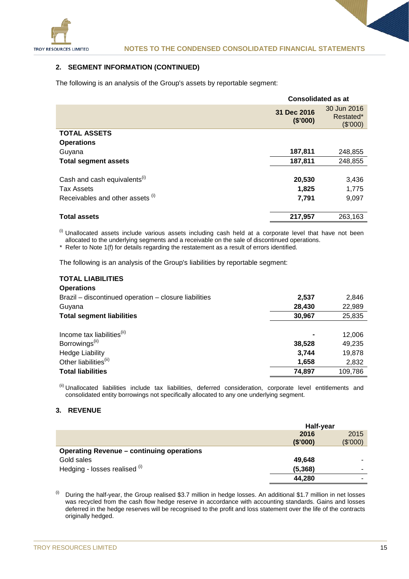

## **2. SEGMENT INFORMATION (CONTINUED)**

The following is an analysis of the Group's assets by reportable segment:

|                                          | <b>Consolidated as at</b> |                                      |  |
|------------------------------------------|---------------------------|--------------------------------------|--|
|                                          | 31 Dec 2016<br>(\$'000)   | 30 Jun 2016<br>Restated*<br>(\$7000) |  |
| <b>TOTAL ASSETS</b>                      |                           |                                      |  |
| <b>Operations</b>                        |                           |                                      |  |
| Guyana                                   | 187,811                   | 248,855                              |  |
| <b>Total segment assets</b>              | 187,811                   | 248,855                              |  |
|                                          |                           |                                      |  |
| Cash and cash equivalents <sup>(i)</sup> | 20,530                    | 3,436                                |  |
| <b>Tax Assets</b>                        | 1,825                     | 1,775                                |  |
| Receivables and other assets (i)         | 7,791                     | 9,097                                |  |
|                                          |                           |                                      |  |
| <b>Total assets</b>                      | 217,957                   | 263,163                              |  |

 $<sup>(i)</sup>$  Unallocated assets include various assets including cash held at a corporate level that have not been</sup> allocated to the underlying segments and a receivable on the sale of discontinued operations.

*\** Refer to Note 1(f) for details regarding the restatement as a result of errors identified.

The following is an analysis of the Group's liabilities by reportable segment:

#### **TOTAL LIABILITIES Operations**

| 2,537  | 2,846   |
|--------|---------|
| 28,430 | 22,989  |
| 30,967 | 25,835  |
|        |         |
|        | 12,006  |
| 38.528 | 49,235  |
| 3.744  | 19,878  |
| 1,658  | 2,832   |
| 74,897 | 109,786 |
|        |         |

(ii) Unallocated liabilities include tax liabilities, deferred consideration, corporate level entitlements and consolidated entity borrowings not specifically allocated to any one underlying segment.

## **3. REVENUE**

|                                                  | Half-year |          |
|--------------------------------------------------|-----------|----------|
|                                                  | 2016      | 2015     |
|                                                  | (\$'000)  | (\$'000) |
| <b>Operating Revenue - continuing operations</b> |           |          |
| Gold sales                                       | 49,648    |          |
| Hedging - losses realised (i)                    | (5, 368)  | ۰        |
|                                                  | 44,280    |          |

 $^{(i)}$  During the half-year, the Group realised \$3.7 million in hedge losses. An additional \$1.7 million in net losses was recycled from the cash flow hedge reserve in accordance with accounting standards. Gains and losses deferred in the hedge reserves will be recognised to the profit and loss statement over the life of the contracts originally hedged.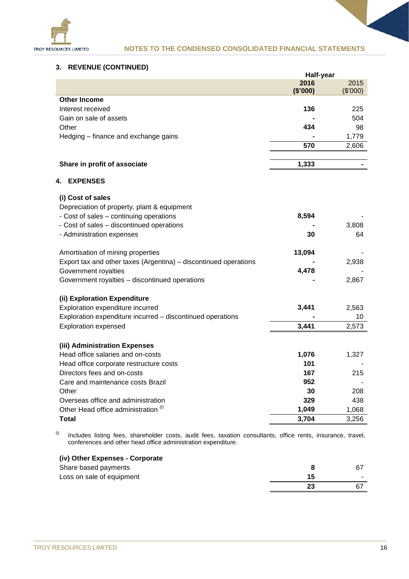

## **3. REVENUE (CONTINUED)**

|                                                                            | Half-year |          |
|----------------------------------------------------------------------------|-----------|----------|
|                                                                            | 2016      | 2015     |
|                                                                            | (\$'000)  | (\$'000) |
| <b>Other Income</b>                                                        |           |          |
| Interest received                                                          | 136       | 225      |
| Gain on sale of assets                                                     |           | 504      |
| Other                                                                      | 434       | 98       |
| Hedging - finance and exchange gains                                       |           | 1,779    |
|                                                                            | 570       | 2,606    |
|                                                                            |           |          |
| Share in profit of associate                                               | 1,333     |          |
| <b>EXPENSES</b><br>4.                                                      |           |          |
| (i) Cost of sales                                                          |           |          |
| Depreciation of property, plant & equipment                                |           |          |
| - Cost of sales - continuing operations                                    | 8,594     |          |
| - Cost of sales - discontinued operations                                  |           | 3,808    |
| - Administration expenses                                                  | 30        | 64       |
|                                                                            |           |          |
| Amortisation of mining properties                                          | 13,094    |          |
| Export tax and other taxes (Argentina) - discontinued operations           |           | 2,938    |
| Government royalties                                                       | 4,478     |          |
| Government royalties - discontinued operations                             |           | 2,867    |
| (ii) Exploration Expenditure                                               |           |          |
| Exploration expenditure incurred                                           | 3,441     | 2,563    |
| Exploration expenditure incurred - discontinued operations                 |           | 10       |
| <b>Exploration expensed</b>                                                | 3,441     | 2,573    |
| (iii) Administration Expenses                                              |           |          |
| Head office salaries and on-costs                                          | 1,076     | 1,327    |
| Head office corporate restructure costs                                    | 101       |          |
| Directors fees and on-costs                                                | 167       | 215      |
|                                                                            | 952       |          |
| Care and maintenance costs Brazil                                          |           |          |
| Other                                                                      | 30<br>329 | 208      |
| Overseas office and administration<br>Other Head office administration (i) |           | 438      |
|                                                                            | 1,049     | 1,068    |
| Total                                                                      | 3,704     | 3,256    |

 $^{(i)}$  Includes listing fees, shareholder costs, audit fees, taxation consultants, office rents, insurance, travel, conferences and other head office administration expenditure.

| (iv) Other Expenses - Corporate |    |     |
|---------------------------------|----|-----|
| Share based payments            | 8  |     |
| Loss on sale of equipment       | 15 | . . |
|                                 | 23 |     |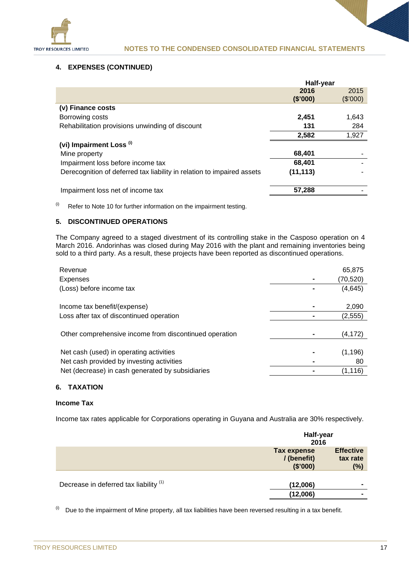

## **4. EXPENSES (CONTINUED)**

|                                                                        | Half-year |          |
|------------------------------------------------------------------------|-----------|----------|
|                                                                        | 2016      | 2015     |
|                                                                        | (\$'000)  | (\$'000) |
| (v) Finance costs                                                      |           |          |
| Borrowing costs                                                        | 2,451     | 1,643    |
| Rehabilitation provisions unwinding of discount                        | 131       | 284      |
|                                                                        | 2,582     | 1,927    |
| (vi) Impairment Loss <sup>(i)</sup>                                    |           |          |
| Mine property                                                          | 68,401    |          |
| Impairment loss before income tax                                      | 68,401    |          |
| Derecognition of deferred tax liability in relation to impaired assets | (11, 113) |          |
| Impairment loss net of income tax                                      | 57,288    |          |

 $(ii)$  Refer to Note 10 for further information on the impairment testing.

## **5. DISCONTINUED OPERATIONS**

The Company agreed to a staged divestment of its controlling stake in the Casposo operation on 4 March 2016. Andorinhas was closed during May 2016 with the plant and remaining inventories being sold to a third party. As a result, these projects have been reported as discontinued operations.

| Revenue                                                | 65,875    |
|--------------------------------------------------------|-----------|
| <b>Expenses</b>                                        | (70, 520) |
| (Loss) before income tax                               | (4,645)   |
|                                                        |           |
| Income tax benefit/(expense)                           | 2,090     |
| Loss after tax of discontinued operation               | (2, 555)  |
|                                                        |           |
| Other comprehensive income from discontinued operation | (4, 172)  |
|                                                        |           |
| Net cash (used) in operating activities                | (1,196)   |
| Net cash provided by investing activities              | 80        |
| Net (decrease) in cash generated by subsidiaries       | (1,116)   |
|                                                        |           |

## **6. TAXATION**

## **Income Tax**

Income tax rates applicable for Corporations operating in Guyana and Australia are 30% respectively.

|                                        | Half-year<br>2016                     |                                     |
|----------------------------------------|---------------------------------------|-------------------------------------|
|                                        | Tax expense<br>/(benefit)<br>(\$'000) | <b>Effective</b><br>tax rate<br>(%) |
| Decrease in deferred tax liability (1) | (12,006)                              | $\blacksquare$                      |
|                                        | (12,006)                              | ۰                                   |

 $(i)$  Due to the impairment of Mine property, all tax liabilities have been reversed resulting in a tax benefit.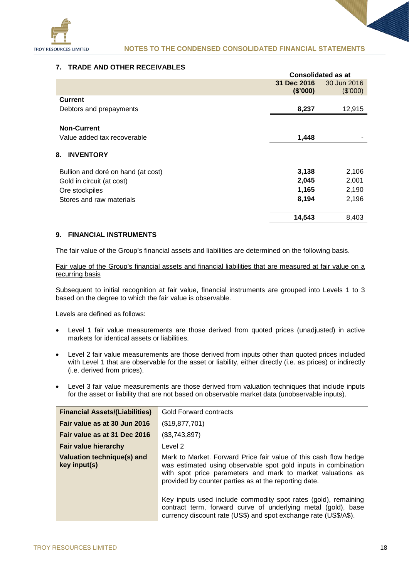

## **7. TRADE AND OTHER RECEIVABLES**

|                                    | <b>Consolidated as at</b> |                         |
|------------------------------------|---------------------------|-------------------------|
|                                    | 31 Dec 2016<br>(\$'000)   | 30 Jun 2016<br>(\$'000) |
| <b>Current</b>                     |                           |                         |
| Debtors and prepayments            | 8,237                     | 12,915                  |
| <b>Non-Current</b>                 |                           |                         |
| Value added tax recoverable        | 1,448                     |                         |
| 8.<br><b>INVENTORY</b>             |                           |                         |
| Bullion and doré on hand (at cost) | 3,138                     | 2,106                   |
| Gold in circuit (at cost)          | 2,045                     | 2,001                   |
| Ore stockpiles                     | 1,165                     | 2,190                   |
| Stores and raw materials           | 8,194                     | 2,196                   |
|                                    | 14,543                    | 8,403                   |

## **9. FINANCIAL INSTRUMENTS**

The fair value of the Group's financial assets and liabilities are determined on the following basis.

Fair value of the Group's financial assets and financial liabilities that are measured at fair value on a recurring basis

Subsequent to initial recognition at fair value, financial instruments are grouped into Levels 1 to 3 based on the degree to which the fair value is observable.

Levels are defined as follows:

- Level 1 fair value measurements are those derived from quoted prices (unadjusted) in active markets for identical assets or liabilities.
- Level 2 fair value measurements are those derived from inputs other than quoted prices included with Level 1 that are observable for the asset or liability, either directly (i.e. as prices) or indirectly (i.e. derived from prices).
- Level 3 fair value measurements are those derived from valuation techniques that include inputs for the asset or liability that are not based on observable market data (unobservable inputs).

| <b>Financial Assets/(Liabilities)</b>      | Gold Forward contracts                                                                                                                                                                                                                                     |
|--------------------------------------------|------------------------------------------------------------------------------------------------------------------------------------------------------------------------------------------------------------------------------------------------------------|
| Fair value as at 30 Jun 2016               | (\$19,877,701)                                                                                                                                                                                                                                             |
| Fair value as at 31 Dec 2016               | (\$3,743,897)                                                                                                                                                                                                                                              |
| <b>Fair value hierarchy</b>                | Level 2                                                                                                                                                                                                                                                    |
| Valuation technique(s) and<br>key input(s) | Mark to Market. Forward Price fair value of this cash flow hedge<br>was estimated using observable spot gold inputs in combination<br>with spot price parameters and mark to market valuations as<br>provided by counter parties as at the reporting date. |
|                                            | Key inputs used include commodity spot rates (gold), remaining<br>contract term, forward curve of underlying metal (gold), base<br>currency discount rate (US\$) and spot exchange rate (US\$/A\$).                                                        |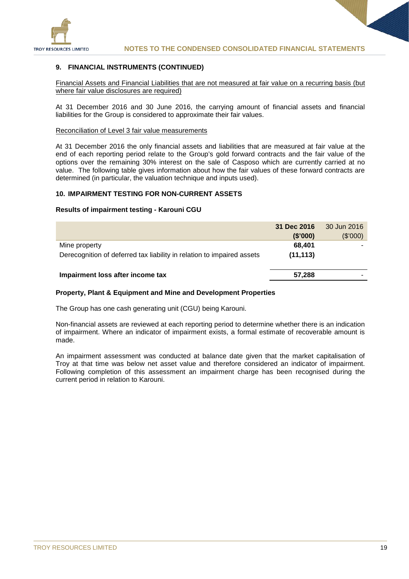

## **9. FINANCIAL INSTRUMENTS (CONTINUED)**

Financial Assets and Financial Liabilities that are not measured at fair value on a recurring basis (but where fair value disclosures are required)

At 31 December 2016 and 30 June 2016, the carrying amount of financial assets and financial liabilities for the Group is considered to approximate their fair values.

## Reconciliation of Level 3 fair value measurements

At 31 December 2016 the only financial assets and liabilities that are measured at fair value at the end of each reporting period relate to the Group's gold forward contracts and the fair value of the options over the remaining 30% interest on the sale of Casposo which are currently carried at no value. The following table gives information about how the fair values of these forward contracts are determined (in particular, the valuation technique and inputs used).

## **10. IMPAIRMENT TESTING FOR NON-CURRENT ASSETS**

#### **Results of impairment testing - Karouni CGU**

|                                                                        | 31 Dec 2016<br>(\$'000) | 30 Jun 2016<br>(\$'000) |
|------------------------------------------------------------------------|-------------------------|-------------------------|
| Mine property                                                          | 68,401                  |                         |
| Derecognition of deferred tax liability in relation to impaired assets | (11, 113)               |                         |
| Impairment loss after income tax                                       | 57,288                  |                         |

#### **Property, Plant & Equipment and Mine and Development Properties**

The Group has one cash generating unit (CGU) being Karouni.

Non-financial assets are reviewed at each reporting period to determine whether there is an indication of impairment. Where an indicator of impairment exists, a formal estimate of recoverable amount is made.

An impairment assessment was conducted at balance date given that the market capitalisation of Troy at that time was below net asset value and therefore considered an indicator of impairment. Following completion of this assessment an impairment charge has been recognised during the current period in relation to Karouni.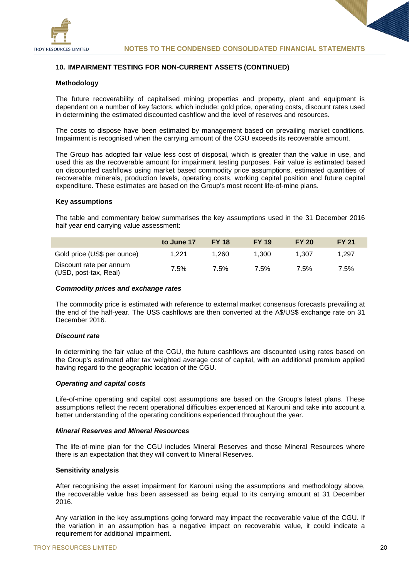

## **10. IMPAIRMENT TESTING FOR NON-CURRENT ASSETS (CONTINUED)**

## **Methodology**

The future recoverability of capitalised mining properties and property, plant and equipment is dependent on a number of key factors, which include: gold price, operating costs, discount rates used in determining the estimated discounted cashflow and the level of reserves and resources.

The costs to dispose have been estimated by management based on prevailing market conditions. Impairment is recognised when the carrying amount of the CGU exceeds its recoverable amount.

The Group has adopted fair value less cost of disposal, which is greater than the value in use, and used this as the recoverable amount for impairment testing purposes. Fair value is estimated based on discounted cashflows using market based commodity price assumptions, estimated quantities of recoverable minerals, production levels, operating costs, working capital position and future capital expenditure. These estimates are based on the Group's most recent life-of-mine plans.

## **Key assumptions**

The table and commentary below summarises the key assumptions used in the 31 December 2016 half year end carrying value assessment:

|                                                  | to June 17 | <b>FY 18</b> | <b>FY 19</b> | <b>FY 20</b> | <b>FY 21</b> |
|--------------------------------------------------|------------|--------------|--------------|--------------|--------------|
| Gold price (US\$ per ounce)                      | 1.221      | 1.260        | 1.300        | 1.307        | 1.297        |
| Discount rate per annum<br>(USD, post-tax, Real) | 7.5%       | 7.5%         | $7.5\%$      | 7.5%         | $7.5\%$      |

## *Commodity prices and exchange rates*

The commodity price is estimated with reference to external market consensus forecasts prevailing at the end of the half-year. The US\$ cashflows are then converted at the A\$/US\$ exchange rate on 31 December 2016.

## *Discount rate*

In determining the fair value of the CGU, the future cashflows are discounted using rates based on the Group's estimated after tax weighted average cost of capital, with an additional premium applied having regard to the geographic location of the CGU.

## *Operating and capital costs*

Life-of-mine operating and capital cost assumptions are based on the Group's latest plans. These assumptions reflect the recent operational difficulties experienced at Karouni and take into account a better understanding of the operating conditions experienced throughout the year.

#### *Mineral Reserves and Mineral Resources*

The life-of-mine plan for the CGU includes Mineral Reserves and those Mineral Resources where there is an expectation that they will convert to Mineral Reserves.

## **Sensitivity analysis**

After recognising the asset impairment for Karouni using the assumptions and methodology above, the recoverable value has been assessed as being equal to its carrying amount at 31 December 2016.

Any variation in the key assumptions going forward may impact the recoverable value of the CGU. If the variation in an assumption has a negative impact on recoverable value, it could indicate a requirement for additional impairment.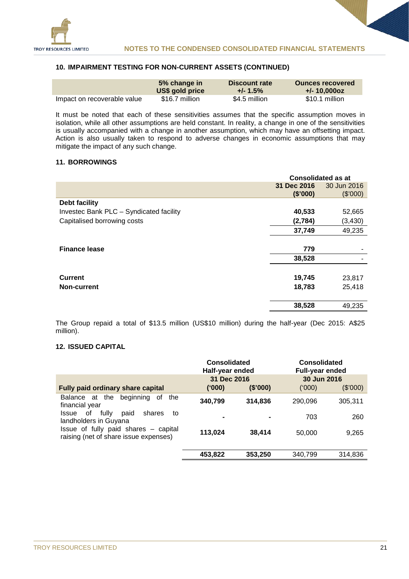

## **10. IMPAIRMENT TESTING FOR NON-CURRENT ASSETS (CONTINUED)**

|                             | 5% change in    | Discount rate | <b>Ounces recovered</b> |
|-----------------------------|-----------------|---------------|-------------------------|
|                             | US\$ gold price | $+/- 1.5\%$   | $+/- 10.0000z$          |
| Impact on recoverable value | \$16.7 million  | \$4.5 million | \$10.1 million          |

It must be noted that each of these sensitivities assumes that the specific assumption moves in isolation, while all other assumptions are held constant. In reality, a change in one of the sensitivities is usually accompanied with a change in another assumption, which may have an offsetting impact. Action is also usually taken to respond to adverse changes in economic assumptions that may mitigate the impact of any such change.

## **11. BORROWINGS**

|                                         | <b>Consolidated as at</b> |             |
|-----------------------------------------|---------------------------|-------------|
|                                         | 31 Dec 2016               | 30 Jun 2016 |
|                                         | (\$'000)                  | (\$'000)    |
| <b>Debt facility</b>                    |                           |             |
| Investec Bank PLC - Syndicated facility | 40,533                    | 52,665      |
| Capitalised borrowing costs             | (2,784)                   | (3, 430)    |
|                                         | 37,749                    | 49,235      |
| <b>Finance lease</b>                    | 779                       |             |
|                                         | 38,528                    |             |
| <b>Current</b>                          | 19,745                    | 23,817      |
| <b>Non-current</b>                      | 18,783                    | 25,418      |
|                                         | 38,528                    | 49,235      |

The Group repaid a total of \$13.5 million (US\$10 million) during the half-year (Dec 2015: A\$25 million).

## **12. ISSUED CAPITAL**

|                                                                               | Consolidated<br>Half-year ended |          | Consolidated<br><b>Full-year ended</b> |          |
|-------------------------------------------------------------------------------|---------------------------------|----------|----------------------------------------|----------|
|                                                                               | 31 Dec 2016                     |          | 30 Jun 2016                            |          |
| <b>Fully paid ordinary share capital</b>                                      | (000)                           | (\$'000) | (000)                                  | (\$'000) |
| beginning<br>Balance at the<br>0f<br>the<br>financial year                    | 340,799                         | 314,836  | 290,096                                | 305,311  |
| fully<br>of<br>shares<br><b>Issue</b><br>paid<br>to<br>landholders in Guyana  | -                               |          | 703                                    | 260      |
| Issue of fully paid shares - capital<br>raising (net of share issue expenses) | 113,024                         | 38,414   | 50,000                                 | 9,265    |
|                                                                               | 453,822                         | 353,250  | 340,799                                | 314,836  |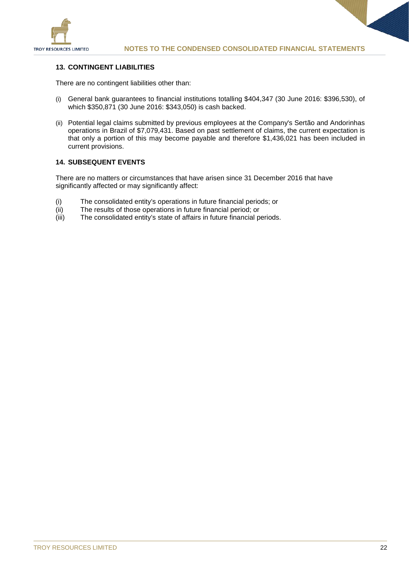

## **13. CONTINGENT LIABILITIES**

There are no contingent liabilities other than:

- (i) General bank guarantees to financial institutions totalling \$404,347 (30 June 2016: \$396,530), of which \$350,871 (30 June 2016: \$343,050) is cash backed.
- (ii) Potential legal claims submitted by previous employees at the Company's Sertão and Andorinhas operations in Brazil of \$7,079,431. Based on past settlement of claims, the current expectation is that only a portion of this may become payable and therefore \$1,436,021 has been included in current provisions.

## **14. SUBSEQUENT EVENTS**

There are no matters or circumstances that have arisen since 31 December 2016 that have significantly affected or may significantly affect:

- (i) The consolidated entity's operations in future financial periods; or (ii) The results of those operations in future financial period; or
- The results of those operations in future financial period; or
- (iii) The consolidated entity's state of affairs in future financial periods.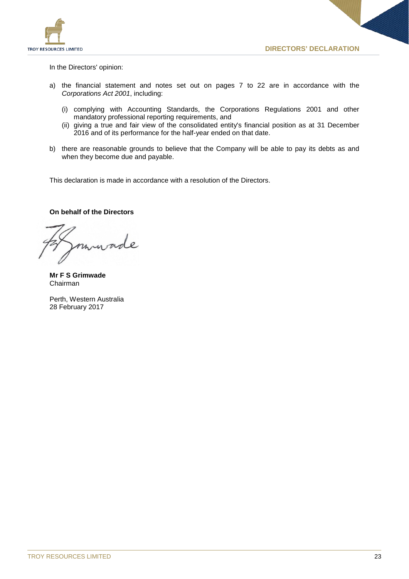

In the Directors' opinion:

- a) the financial statement and notes set out on pages 7 to 22 are in accordance with the *Corporations Act 2001*, including:
	- (i) complying with Accounting Standards, the Corporations Regulations 2001 and other mandatory professional reporting requirements, and
	- (ii) giving a true and fair view of the consolidated entity's financial position as at 31 December 2016 and of its performance for the half-year ended on that date.
- b) there are reasonable grounds to believe that the Company will be able to pay its debts as and when they become due and payable.

This declaration is made in accordance with a resolution of the Directors.

## **On behalf of the Directors**

**Mr F S Grimwade** Chairman

Perth, Western Australia 28 February 2017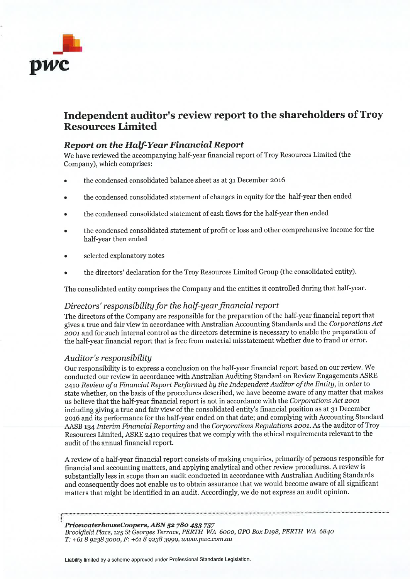

## Independent auditor's review report to the shareholders of Troy **Resources Limited**

## **Report on the Half-Year Financial Report**

We have reviewed the accompanying half-year financial report of Troy Resources Limited (the Company), which comprises:

- the condensed consolidated balance sheet as at 31 December 2016
- the condensed consolidated statement of changes in equity for the half-year then ended
- the condensed consolidated statement of cash flows for the half-year then ended
- the condensed consolidated statement of profit or loss and other comprehensive income for the half-year then ended
- selected explanatory notes
- the directors' declaration for the Troy Resources Limited Group (the consolidated entity).

The consolidated entity comprises the Company and the entities it controlled during that half-year.

## Directors' responsibility for the half-year financial report

The directors of the Company are responsible for the preparation of the half-year financial report that gives a true and fair view in accordance with Australian Accounting Standards and the Corporations Act 2001 and for such internal control as the directors determine is necessary to enable the preparation of the half-year financial report that is free from material misstatement whether due to fraud or error.

## Auditor's responsibility

Our responsibility is to express a conclusion on the half-year financial report based on our review. We conducted our review in accordance with Australian Auditing Standard on Review Engagements ASRE 2410 Review of a Financial Report Performed by the Independent Auditor of the Entity, in order to state whether, on the basis of the procedures described, we have become aware of any matter that makes us believe that the half-year financial report is not in accordance with the Corporations Act 2001 including giving a true and fair view of the consolidated entity's financial position as at 31 December 2016 and its performance for the half-year ended on that date; and complying with Accounting Standard AASB 134 Interim Financial Reporting and the Corporations Regulations 2001. As the auditor of Troy Resources Limited, ASRE 2410 requires that we comply with the ethical requirements relevant to the audit of the annual financial report.

A review of a half-year financial report consists of making enquiries, primarily of persons responsible for financial and accounting matters, and applying analytical and other review procedures. A review is substantially less in scope than an audit conducted in accordance with Australian Auditing Standards and consequently does not enable us to obtain assurance that we would become aware of all significant matters that might be identified in an audit. Accordingly, we do not express an audit opinion.

PricewaterhouseCoopers, ABN 52 780 433 757 Brookfield Place, 125 St Georges Terrace, PERTH WA 6000, GPO Box D198, PERTH WA 6840 T: +61 8 9238 3000, F: +61 8 9238 3999, www.pwc.com.au

Liability limited by a scheme approved under Professional Standards Legislation.